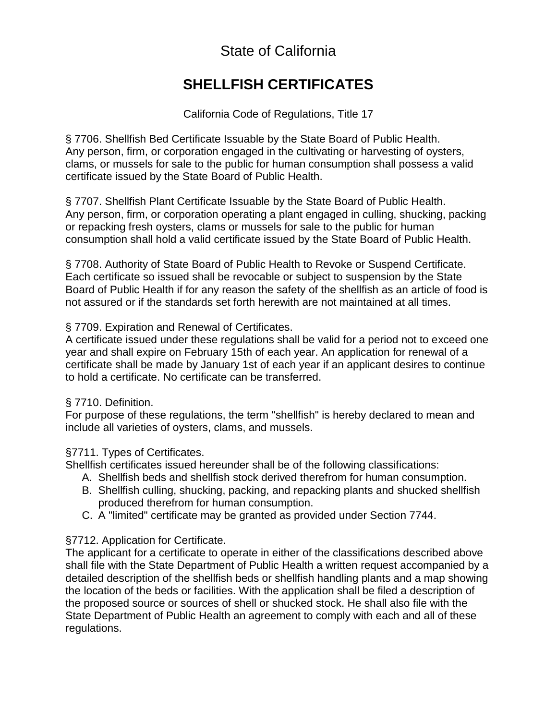# State of California

# **SHELLFISH CERTIFICATES**

California Code of Regulations, Title 17

§ 7706. Shellfish Bed Certificate Issuable by the State Board of Public Health.<br>Any person, firm, or corporation engaged in the cultivating or harvesting of oysters, Board of Public Health. §7706. Shellfish Bed Certificate Issuable by the State Board of Public Health.

the State Board of Public Health. §7707. Shellfish Plant Certificate Issuable by the State Board of Public Health. Any person, firm, or corporation operating a plant engaged in culling, shucking, packing or repacking fresh oysters, clams or mussels for sale to the public for human clams, or mussels for sale to the public for human consumption shall possess a valid<br>certificate issued by the State Board of Public Health.<br>§ 7707. Shellfish Plant Certificate Issuable by the State Board of Public Health.

State Board of Public Health if for any reason the safety of the shellfish as an article of food is §7708. Authority of State Board of Public Health to Revoke or Suspend Certificate. not assured or if the standards set forth herewith are not maintained at all times.

# §7709. Expiration and Renewal of Certificates.

one application for renewal of a an applicant desires to continue be transferred. not assured or if the standards set forth herewith are not maintained at all times.<br>
§ 7709. Expiration and Renewal of Certificates.<br>
A certificate issued under these regulations shall be valid for a period not to exceed o

# Definition.

mean and include all varieties of oysters, clams, and mussels.

# §7711. Types of Certificates.

be of the following classifications:

- 
- B. Shellfish culling, shucking, packing, and repacking plants and shucked shellfish produced therefrom for human consumption.
- C. A "limited" certificate may be granted as provided under Section 7744.

# §7712. Application for Certificate.

 The applicant for a certificate to operate in either of the classifications described above shall file with the State Department of Public Health a written request accompanied by a detailed description of the shellfish beds or shellfish handling plants and a map showing the location of the beds or facilities. With the application shall be filed a description of the proposed source or sources of shell or shucked stock. He shall also file with the State Department of Public Health an agreement to comply with each and all of these regulations.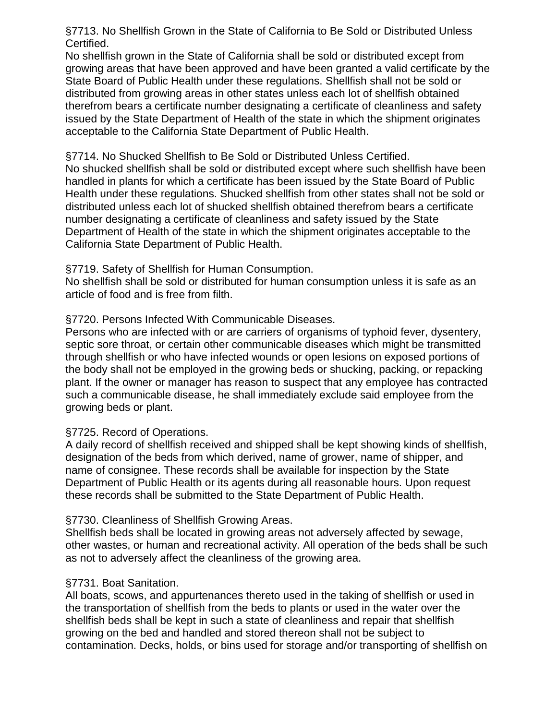Certified. §7713. No Shellfish Grown in the State of California to Be Sold or Distributed Unless

Certified.<br>No shellfish grown in the State of California shall be sold or distributed except from issued by the State Department of Health of the state in which the shipment originates growing areas that have been approved and have been granted a valid certificate by the distributed from growing areas in other states unless each lot of shellfish obtained acceptable to the California State Department of Public Health. State Board of Public Health under these regulations. Shellfish shall not be sold or distributed from growing areas in other states unless each lot of shellfish obtained<br>therefrom bears a certificate number designating a certificate of cleanliness and safety<br>issued by the State Department of Health of the

§7714. No Shucked Shellfish to Be Sold or Distributed Unless Certified.

handled in plants for which a certificate has been issued by the State Board of Public number designating a certificate of cleanliness and safety issued by the State the distributed unless each lot of shucked shellfish obtained therefrom bears a certificate<br>number designating a certificate of cleanliness and safety issued by the State California State Department of Public Health. acceptable to the California State Department of Public Health.<br>§7714. No Shucked Shellfish to Be Sold or Distributed Unless Certified.<br>No shucked shellfish shall be sold or distributed except where such shellfish have bee Health under these regulations. Shucked shellfish from other states shall not be sold or

#### §7719. Safety of Shellfish for Human Consumption.

from filth. No shellfish shall be sold or distributed for human consumption unless it is safe as an Department of Health of the state in which the shipment originates acceptable to the<br>California State Department of Public Health.<br>§7719. Safety of Shellfish for Human Consumption.<br>No shellfish shall be sold or distributed

### §7720. Persons Infected With Communicable Diseases.

from the septic sore throat, or certain other communicable diseases which might be transmitted through shellfish or who have infected wounds or open lesions on exposed portions of the body shall not be employed in the growing beds or shucking, packing, or repacking plant. If the owner or manager has reason to suspect that any employee has contracted growing beds or plant. septic sore throat, or certain other communicable diseases which might be transmitted<br>through shellfish or who have infected wounds or open lesions on exposed portions of<br>the body shall not be employed in the growing beds

### §7725. Record of Operations.

be available for inspection by the State the State Department of Public Health. A daily record of shellfish received and shipped shall be kept showing kinds of shellfish, designation of the beds from which derived, name of grower, name of shipper, and

### §7730. Cleanliness of Shellfish Growing Areas.

of the beds shall be such as not to adversely affect the cleanliness of the growing area. Shellfish beds shall be located in growing areas not adversely affected by sewage,

### §7731. Boat Sanitation.

growing on the bed and handled and stored thereon shall not be subject to<br>contamination. Decks, holds, or bins used for storage and/or transporting of shellfish on the transportation of shellfish from the beds to plants or used in the water over the growing on the bed and handled and stored thereon shall not be subject to other wastes, or human and recreational activity. All operation of the beds shall be such<br>as not to adversely affect the cleanliness of the growing area.<br>§7731. Boat Sanitation.<br>All boats, scows, and appurtenances thereto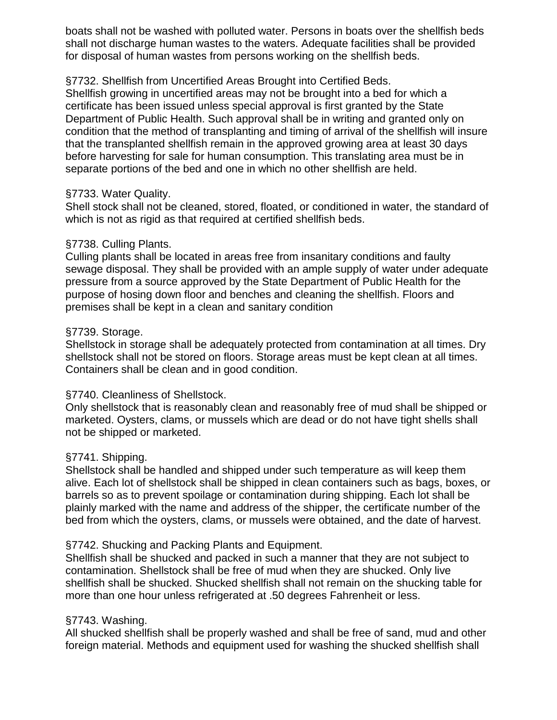boats shall not be washed with polluted water. Persons in boats over the shellfish beds for disposal of human wastes from persons working on the shellfish beds.

### from Uncertified Areas Brought into Certified Beds.

a bed for which a State area must be in Department of Public Health. Such approval shall be in writing and granted only on separate portions of the bed and one in which no other shellfish are held. boats shall not be washed with polluted water. Persons in boats over the shellfish beds<br>shall not discharge human wastes to the waters. Adequate facilities shall be provided<br>for disposal of human wastes from persons workin that the transplanted shellfish remain in the approved growing area at least 30 days

## §7733. Water Quality.

which is not as rigid as that required at certified shellfish beds. Shell stock shall not be cleaned, stored, floated, or conditioned in water, the standard of

## §7738. Culling Plants.

areas free from insanitary conditions and faulty for the sewage disposal. They shall be provided with an ample supply of water under adequate purpose of hosing down floor and benches and cleaning the shellfish. Floors and premises shall be kept in a clean and sanitary condition which is not as rigid as that required at certified shellfish beds.<br>
§7738. Culling Plants.<br>
Culling plants shall be located in areas free from insanitary conditions and faulty<br>
sewage disposal. They shall be provided with

## §7739. Storage.

stored on floors. Storage areas must be kept clean at all times. Shellstock in storage shall be adequately protected from contamination at all times. Dry Containers shall be clean and in good condition.

# Shellstock.

Only shellstock that is reasonably clean and reasonably free of mud shall be shipped or not be shipped or marketed.

# §7741. Shipping.

harvest. Shellstock shall be handled and shipped under such temperature as will keep them barrels so as to prevent spoilage or contamination during shipping. Each lot shall be plainly marked with the name and address of the shipper, the certificate number of the alive. Each lot of shellstock shall be shipped in clean containers such as bags, boxes, or

### §7742. Shucking and Packing Plants and Equipment.

be free of mud when they are shucked. Only live shellfish shall be shucked. Shucked shellfish shall not remain on the shucking table for at .50 degrees Fahrenheit or less. Shellfish shall be shucked and packed in such a manner that they are not subject to barrels so as to prevent spoilage or contamination during shipping. Each lot shall be<br>plainly marked with the name and address of the shipper, the certificate number of the<br>bed from which the oysters, clams, or mussels wer

### §7743. Washing.

more than one hour unless refrigerated at .50 degrees Fahrenheit or less.<br>§7743. Washing.<br>All shucked shellfish shall be properly washed and shall be free of sand, mud and other foreign material. Methods and equipment used for washing the shucked shellfish shall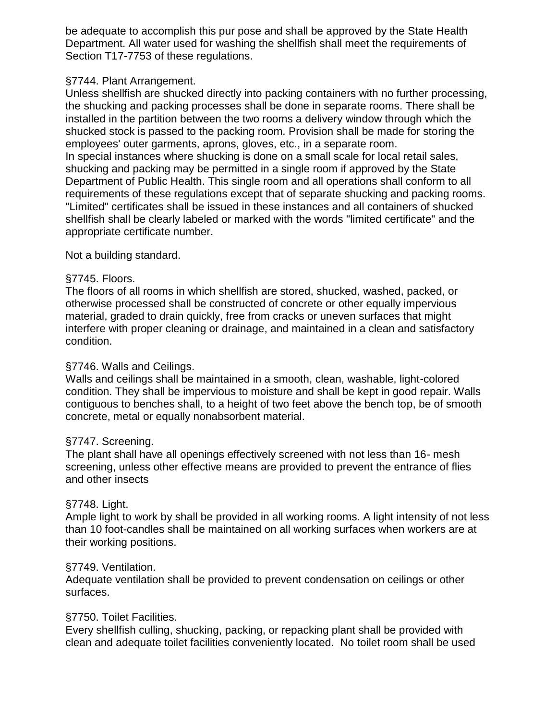be adequate to accomplish this pur pose and shall be approved by the State Health<br>Department. All water used for washing the shellfish shall meet the requirements of Section T17-7753 of these regulations.

## §7744. Plant Arrangement.

made for storing the the shucking and packing processes shall be done in separate rooms. There shall be employees' outer garments, aprons, gloves, etc., in a separate room. Unless shellfish are shucked directly into packing containers with no further processing, the shucking and packing processes shall be done in separate rooms. There shall be<br>installed in the partition between the two rooms a delivery window through which the<br>shucked stock is passed to the packing room. Provision

State to all shucking and packing may be permitted in a single room if approved by the State<br>Department of Public Health. This single room and all operations shall conform to all<br>requirements of these regulations except that of separat appropriate certificate number. "Limited" certificates shall be issued in these instances and all containers of shucked<br>shellfish shall be clearly labeled or marked with the words "limited certificate" and the<br>appropriate certificate number.

Not a building standard.

### §7745. Floors.

Not a building standard.<br>§7745. Floors.<br>The floors of all rooms in which shellfish are stored, shucked, washed, packed, or interfere with proper cleaning or drainage, and maintained in a clean and satisfactory condition. otherwise processed shall be constructed of concrete or other equally impervious material, graded to drain quickly, free from cracks or uneven surfaces that might

## §7746. Walls and Ceilings.

condition. They shall be impervious to moisture and shall be kept in good repair. Walls contiguous to benches shall, to a height of two feet above the bench top, be of smooth concrete, metal or equally nonabsorbent material. interfere with proper cleaning or drainage, and maintained in a clean and satisfactory<br>condition.<br>§7746. Walls and Ceilings.<br>Walls and ceilings shall be maintained in a smooth, clean, washable, light-colored<br>condition. The

# §7747. Screening.

16- mesh and other insects contiguous to benches shall, to a height of two feet above the bench top, be of smooth<br>concrete, metal or equally nonabsorbent material.<br>§7747. Screening.<br>The plant shall have all openings effectively screened with not les

# §7748. Light.

and other insects<br>§7748. Light.<br>Ample light to work by shall be provided in all working rooms. A light intensity of not less than 10 foot-candles shall be maintained on all working surfaces when workers are at their working positions.

# §7749. Ventilation.

their working positions.<br>§7749. Ventilation.<br>Adequate ventilation shall be provided to prevent condensation on ceilings or other surfaces.

# §7750. Toilet Facilities.

surfaces.<br>§7750. Toilet Facilities.<br>Every shellfish culling, shucking, packing, or repacking plant shall be provided with<br>clean and adequate toilet facilities conveniently located. No toilet room shall be used Every shellfish culling, shucking, packing, or repacking plant shall be provided with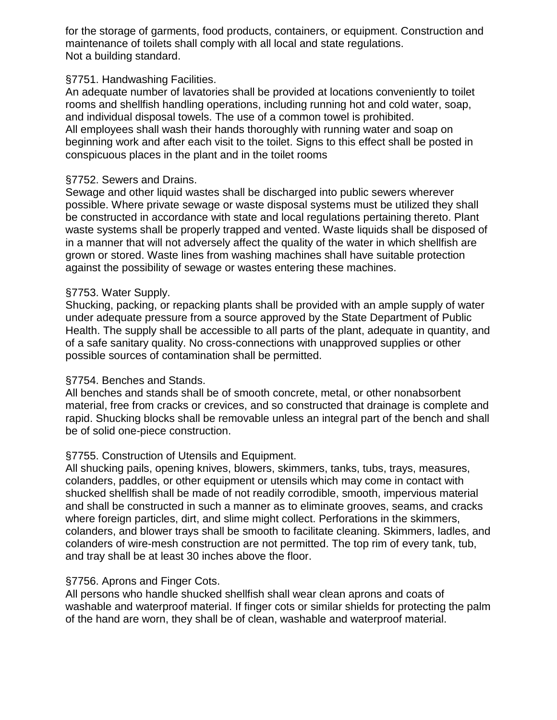for the storage of garments, food products, containers, or equipment. Construction and<br>maintenance of toilets shall comply with all local and state regulations. Not a building standard.

#### Facilities.

Not a building standard.<br>§7751. Handwashing Facilities.<br>An adequate number of lavatories shall be provided at locations conveniently to toilet the plant and in the toilet rooms and individual disposal towels. The use of a common towel is prohibited. rooms and shellfish handling operations, including running hot and cold water, soap, and individual disposal towels. The use of a common towel is prohibited.<br>All employees shall wash their hands thoroughly with running water and soap on<br>beginning work and after each visit to the toilet. Signs to this effec

#### §7752. Sewers and Drains.

of machines. possible. Where private sewage or waste disposal systems must be utilized they shall<br>be constructed in accordance with state and local regulations pertaining thereto. Plant grown or stored. Waste lines from washing machines shall have suitable protection in a manner that will not adversely affect the quality of the water in which shellfish are

#### §7753. Water Supply.

Health. The supply shall be accessible to all parts of the plant, adequate in quantity, and<br>of a safe sanitary quality. No cross-connections with unapproved supplies or other possible sources of contamination shall be permitted. Shucking, packing, or repacking plants shall be provided with an ample supply of water under adequate pressure from a source approved by the State Department of Public

### §7754. Benches and Stands.

the bench and shall All benches and stands shall be of smooth concrete, metal, or other nonabsorbent material, free from cracks or crevices, and so constructed that drainage is complete and be of solid one-piece construction. possible sources of contamination shall be permitted.<br>S7754. Benches and Stands.<br>All benches and stands shall be of smooth concrete, metal, or other nonabsorbent<br>material, free from cracks or crevices, and so constructed t

### §7755. Construction of Utensils and Equipment.

colanders, paddles, or other equipment or utensils which may come in contact with<br>shucked shellfish shall be made of not readily corrodible, smooth, impervious material and shall be constructed in such a manner as to eliminate grooves, seams, and cracks colanders, and blower trays shall be smooth to facilitate cleaning. Skimmers, ladles, and<br>colanders of wire-mesh construction are not permitted. The top rim of every tank, tub, colanders, and blower trays shall be smooth to facilitate cleaning. Skimmers, ladles, and and tray shall be at least 30 inches above the floor. where foreign particles, dirt, and slime might collect. Perforations in the skimmers,

### §7756. Aprons and Finger Cots.

palm of clean, washable and waterproof material. and tray shall be at least 30 inches above the floor.<br>§7756. Aprons and Finger Cots.<br>All persons who handle shucked shellfish shall wear clean aprons and coats of<br>washable and waterproof material. If finger cots or similar